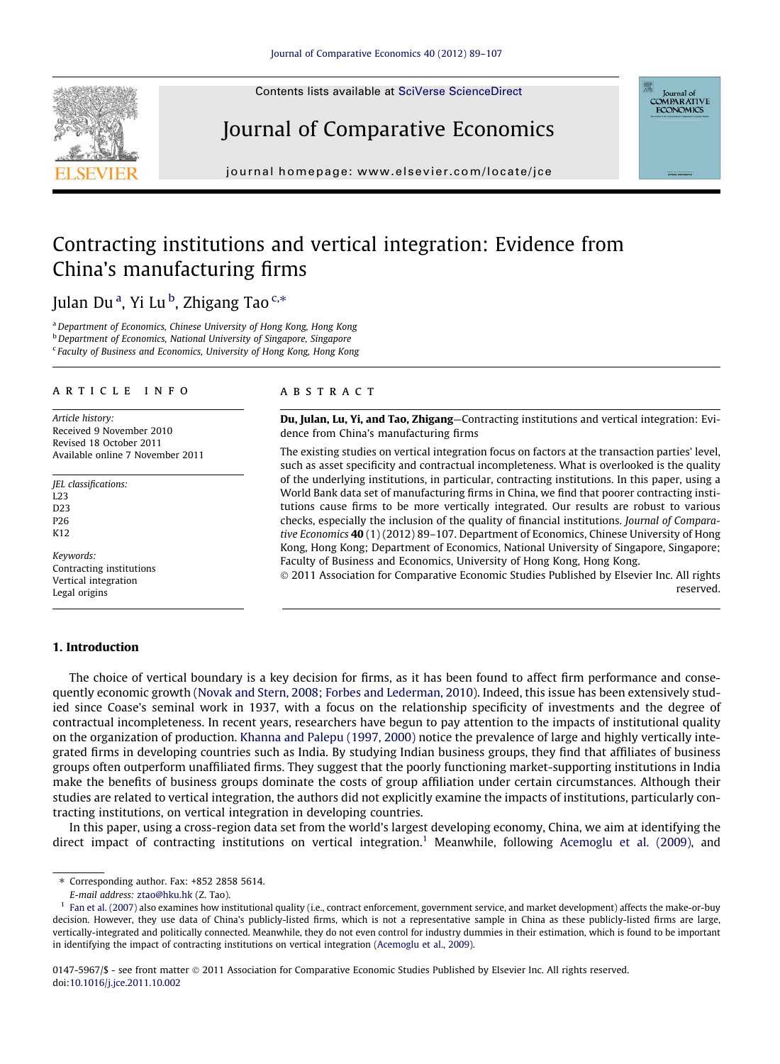Contents lists available at [SciVerse ScienceDirect](http://www.sciencedirect.com/science/journal/01475967)







journal homepage: [www.elsevier.com/locate/jce](http://www.elsevier.com/locate/jce)

# Contracting institutions and vertical integration: Evidence from China's manufacturing firms

Julan Du <sup>a</sup>, Yi Lu <sup>b</sup>, Zhigang Tao <sup>c,</sup>\*

<sup>a</sup> Department of Economics, Chinese University of Hong Kong, Hong Kong  $b$  Department of Economics, National University of Singapore, Singapore <sup>c</sup> Faculty of Business and Economics, University of Hong Kong, Hong Kong

#### article info

Article history: Received 9 November 2010 Revised 18 October 2011 Available online 7 November 2011

JEL classifications:  $123$ D23 P26 K<sub>12</sub>

Keywords: Contracting institutions Vertical integration Legal origins

## 1. Introduction

### **ABSTRACT**

Du, Julan, Lu, Yi, and Tao, Zhigang–Contracting institutions and vertical integration: Evidence from China's manufacturing firms

The existing studies on vertical integration focus on factors at the transaction parties' level, such as asset specificity and contractual incompleteness. What is overlooked is the quality of the underlying institutions, in particular, contracting institutions. In this paper, using a World Bank data set of manufacturing firms in China, we find that poorer contracting institutions cause firms to be more vertically integrated. Our results are robust to various checks, especially the inclusion of the quality of financial institutions. Journal of Comparative Economics 40 (1) (2012) 89–107. Department of Economics, Chinese University of Hong Kong, Hong Kong; Department of Economics, National University of Singapore, Singapore; Faculty of Business and Economics, University of Hong Kong, Hong Kong.

© 2011 Association for Comparative Economic Studies Published by Elsevier Inc. All rights reserved.

The choice of vertical boundary is a key decision for firms, as it has been found to affect firm performance and consequently economic growth [\(Novak and Stern, 2008; Forbes and Lederman, 2010](#page--1-0)). Indeed, this issue has been extensively studied since Coase's seminal work in 1937, with a focus on the relationship specificity of investments and the degree of contractual incompleteness. In recent years, researchers have begun to pay attention to the impacts of institutional quality on the organization of production. [Khanna and Palepu \(1997, 2000\)](#page--1-0) notice the prevalence of large and highly vertically integrated firms in developing countries such as India. By studying Indian business groups, they find that affiliates of business groups often outperform unaffiliated firms. They suggest that the poorly functioning market-supporting institutions in India make the benefits of business groups dominate the costs of group affiliation under certain circumstances. Although their studies are related to vertical integration, the authors did not explicitly examine the impacts of institutions, particularly contracting institutions, on vertical integration in developing countries.

In this paper, using a cross-region data set from the world's largest developing economy, China, we aim at identifying the direct impact of contracting institutions on vertical integration.<sup>1</sup> Meanwhile, following [Acemoglu et al. \(2009\),](#page--1-0) and

0147-5967/\$ - see front matter © 2011 Association for Comparative Economic Studies Published by Elsevier Inc. All rights reserved. doi:[10.1016/j.jce.2011.10.002](http://dx.doi.org/10.1016/j.jce.2011.10.002)

<sup>⇑</sup> Corresponding author. Fax: +852 2858 5614.

E-mail address: [ztao@hku.hk](mailto:ztao@hku.hk) (Z. Tao).

<sup>1</sup> [Fan et al. \(2007\)](#page--1-0) also examines how institutional quality (i.e., contract enforcement, government service, and market development) affects the make-or-buy decision. However, they use data of China's publicly-listed firms, which is not a representative sample in China as these publicly-listed firms are large, vertically-integrated and politically connected. Meanwhile, they do not even control for industry dummies in their estimation, which is found to be important in identifying the impact of contracting institutions on vertical integration [\(Acemoglu et al., 2009\)](#page--1-0).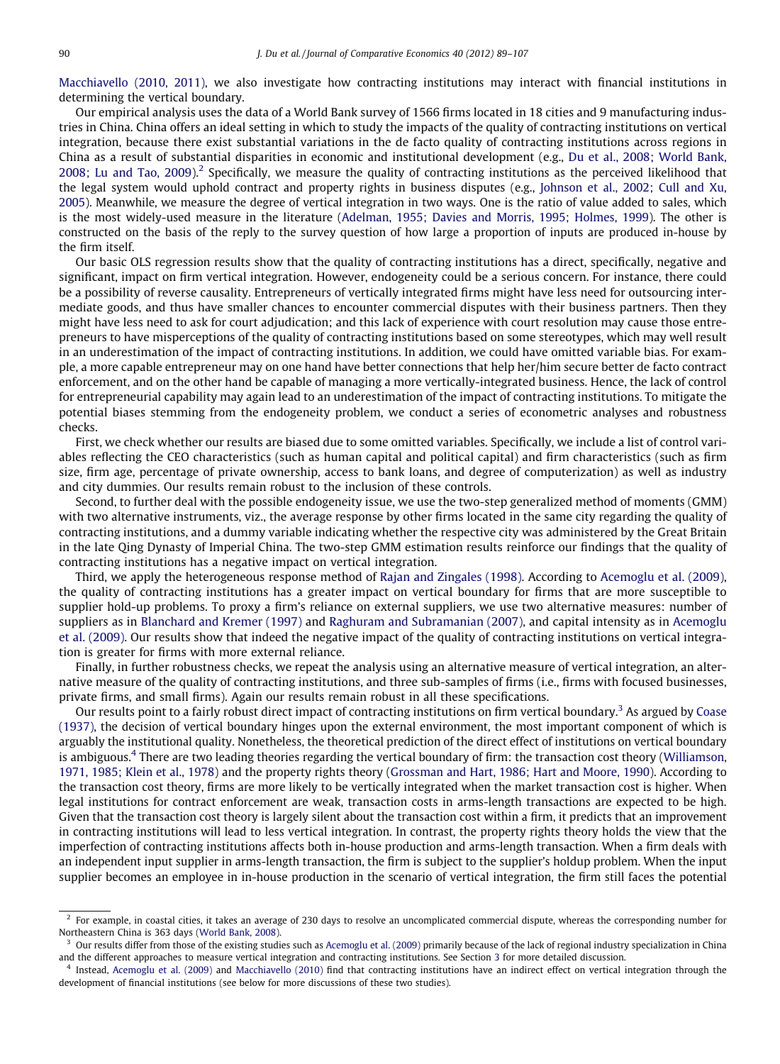[Macchiavello \(2010, 2011\)](#page--1-0), we also investigate how contracting institutions may interact with financial institutions in determining the vertical boundary.

Our empirical analysis uses the data of a World Bank survey of 1566 firms located in 18 cities and 9 manufacturing industries in China. China offers an ideal setting in which to study the impacts of the quality of contracting institutions on vertical integration, because there exist substantial variations in the de facto quality of contracting institutions across regions in China as a result of substantial disparities in economic and institutional development (e.g., [Du et al., 2008; World Bank,](#page--1-0) [2008; Lu and Tao, 2009\)](#page--1-0).<sup>2</sup> Specifically, we measure the quality of contracting institutions as the perceived likelihood that the legal system would uphold contract and property rights in business disputes (e.g., [Johnson et al., 2002; Cull and Xu,](#page--1-0) [2005\)](#page--1-0). Meanwhile, we measure the degree of vertical integration in two ways. One is the ratio of value added to sales, which is the most widely-used measure in the literature ([Adelman, 1955; Davies and Morris, 1995; Holmes, 1999](#page--1-0)). The other is constructed on the basis of the reply to the survey question of how large a proportion of inputs are produced in-house by the firm itself.

Our basic OLS regression results show that the quality of contracting institutions has a direct, specifically, negative and significant, impact on firm vertical integration. However, endogeneity could be a serious concern. For instance, there could be a possibility of reverse causality. Entrepreneurs of vertically integrated firms might have less need for outsourcing intermediate goods, and thus have smaller chances to encounter commercial disputes with their business partners. Then they might have less need to ask for court adjudication; and this lack of experience with court resolution may cause those entrepreneurs to have misperceptions of the quality of contracting institutions based on some stereotypes, which may well result in an underestimation of the impact of contracting institutions. In addition, we could have omitted variable bias. For example, a more capable entrepreneur may on one hand have better connections that help her/him secure better de facto contract enforcement, and on the other hand be capable of managing a more vertically-integrated business. Hence, the lack of control for entrepreneurial capability may again lead to an underestimation of the impact of contracting institutions. To mitigate the potential biases stemming from the endogeneity problem, we conduct a series of econometric analyses and robustness checks.

First, we check whether our results are biased due to some omitted variables. Specifically, we include a list of control variables reflecting the CEO characteristics (such as human capital and political capital) and firm characteristics (such as firm size, firm age, percentage of private ownership, access to bank loans, and degree of computerization) as well as industry and city dummies. Our results remain robust to the inclusion of these controls.

Second, to further deal with the possible endogeneity issue, we use the two-step generalized method of moments (GMM) with two alternative instruments, viz., the average response by other firms located in the same city regarding the quality of contracting institutions, and a dummy variable indicating whether the respective city was administered by the Great Britain in the late Qing Dynasty of Imperial China. The two-step GMM estimation results reinforce our findings that the quality of contracting institutions has a negative impact on vertical integration.

Third, we apply the heterogeneous response method of [Rajan and Zingales \(1998\)](#page--1-0). According to [Acemoglu et al. \(2009\),](#page--1-0) the quality of contracting institutions has a greater impact on vertical boundary for firms that are more susceptible to supplier hold-up problems. To proxy a firm's reliance on external suppliers, we use two alternative measures: number of suppliers as in [Blanchard and Kremer \(1997\)](#page--1-0) and [Raghuram and Subramanian \(2007\)](#page--1-0), and capital intensity as in [Acemoglu](#page--1-0) [et al. \(2009\).](#page--1-0) Our results show that indeed the negative impact of the quality of contracting institutions on vertical integration is greater for firms with more external reliance.

Finally, in further robustness checks, we repeat the analysis using an alternative measure of vertical integration, an alternative measure of the quality of contracting institutions, and three sub-samples of firms (i.e., firms with focused businesses, private firms, and small firms). Again our results remain robust in all these specifications.

Our results point to a fairly robust direct impact of contracting institutions on firm vertical boundary.<sup>3</sup> As argued by [Coase](#page--1-0) [\(1937\),](#page--1-0) the decision of vertical boundary hinges upon the external environment, the most important component of which is arguably the institutional quality. Nonetheless, the theoretical prediction of the direct effect of institutions on vertical boundary is ambiguous.<sup>4</sup> There are two leading theories regarding the vertical boundary of firm: the transaction cost theory [\(Williamson,](#page--1-0) [1971, 1985; Klein et al., 1978\)](#page--1-0) and the property rights theory ([Grossman and Hart, 1986; Hart and Moore, 1990\)](#page--1-0). According to the transaction cost theory, firms are more likely to be vertically integrated when the market transaction cost is higher. When legal institutions for contract enforcement are weak, transaction costs in arms-length transactions are expected to be high. Given that the transaction cost theory is largely silent about the transaction cost within a firm, it predicts that an improvement in contracting institutions will lead to less vertical integration. In contrast, the property rights theory holds the view that the imperfection of contracting institutions affects both in-house production and arms-length transaction. When a firm deals with an independent input supplier in arms-length transaction, the firm is subject to the supplier's holdup problem. When the input supplier becomes an employee in in-house production in the scenario of vertical integration, the firm still faces the potential

 $2$  For example, in coastal cities, it takes an average of 230 days to resolve an uncomplicated commercial dispute, whereas the corresponding number for Northeastern China is 363 days [\(World Bank, 2008\)](#page--1-0).

Our results differ from those of the existing studies such as [Acemoglu et al. \(2009\)](#page--1-0) primarily because of the lack of regional industry specialization in China and the different approaches to measure vertical integration and contracting institutions. See Section 3 for more detailed discussion.

<sup>4</sup> Instead, [Acemoglu et al. \(2009\)](#page--1-0) and [Macchiavello \(2010\)](#page--1-0) find that contracting institutions have an indirect effect on vertical integration through the development of financial institutions (see below for more discussions of these two studies).